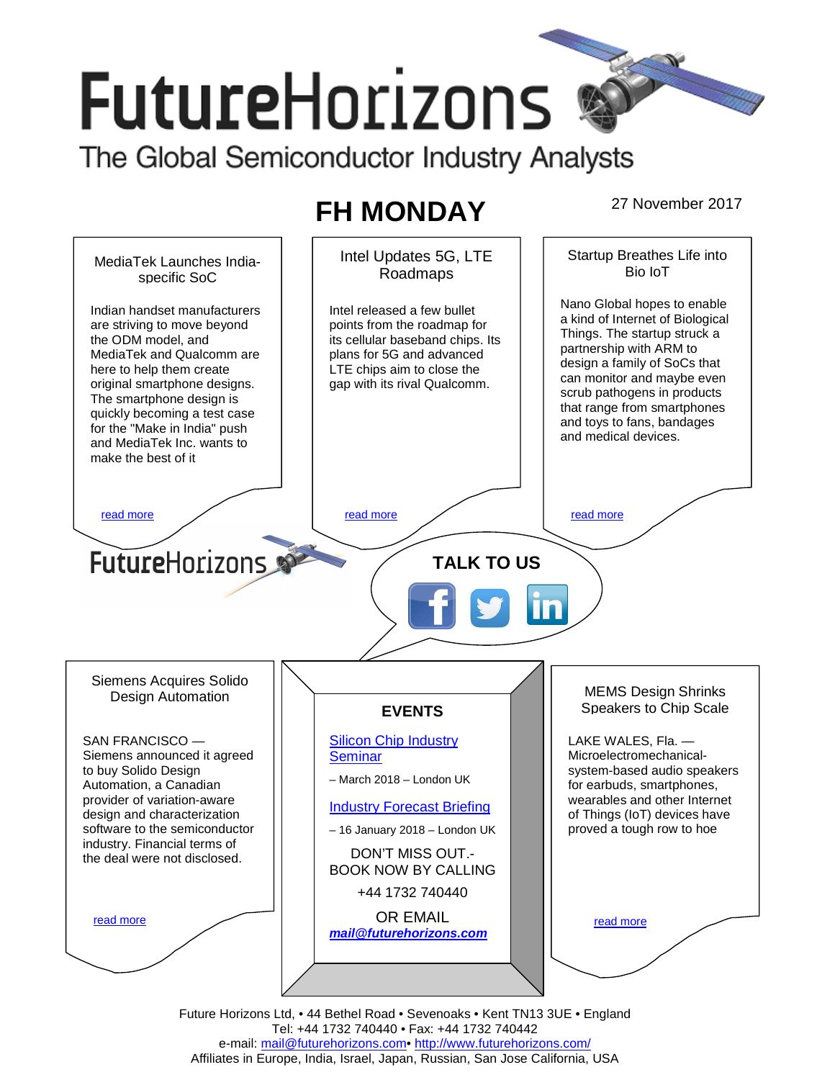# **FutureHorizons** The Global Semiconductor Industry Analysts

## **FH MONDAY** 27 November 2017



Future Horizons Ltd, • 44 Bethel Road • Sevenoaks • Kent TN13 3UE • England Tel: +44 1732 740440 • Fax: +44 1732 740442 e-mail: mail@futurehorizons.com• http://www.futurehorizons.com/ Affiliates in Europe, India, Israel, Japan, Russian, San Jose California, USA